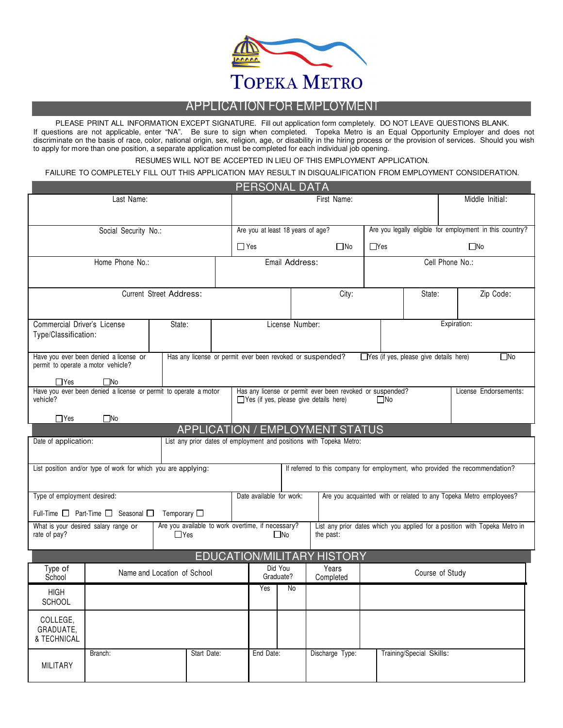

# APPLICATION FOR EMPLOYMENT

PLEASE PRINT ALL INFORMATION EXCEPT SIGNATURE. Fill out application form completely. DO NOT LEAVE QUESTIONS BLANK. If questions are not applicable, enter "NA". Be sure to sign when completed. Topeka Metro is an Equal Opportunity Employer and does not discriminate on the basis of race, color, national origin, sex, religion, age, or disability in the hiring process or the provision of services. Should you wish to apply for more than one position, a separate application must be completed for each individual job opening.

RESUMES WILL NOT BE ACCEPTED IN LIEU OF THIS EMPLOYMENT APPLICATION.

FAILURE TO COMPLETELY FILL OUT THIS APPLICATION MAY RESULT IN DISQUALIFICATION FROM EMPLOYMENT CONSIDERATION.

| PERSONAL DATA                                                                |                             |                     |                                                   |  |                                   |                 |                                                                                                               |                 |                                               |                                                          |                                                                              |  |  |
|------------------------------------------------------------------------------|-----------------------------|---------------------|---------------------------------------------------|--|-----------------------------------|-----------------|---------------------------------------------------------------------------------------------------------------|-----------------|-----------------------------------------------|----------------------------------------------------------|------------------------------------------------------------------------------|--|--|
|                                                                              | Last Name:                  |                     |                                                   |  | First Name:                       |                 |                                                                                                               |                 |                                               |                                                          | Middle Initial:                                                              |  |  |
|                                                                              |                             |                     |                                                   |  |                                   |                 |                                                                                                               |                 |                                               |                                                          |                                                                              |  |  |
|                                                                              | Social Security No.:        |                     |                                                   |  | Are you at least 18 years of age? |                 |                                                                                                               |                 |                                               | Are you legally eligible for employment in this country? |                                                                              |  |  |
|                                                                              |                             |                     |                                                   |  | $\Box$ Yes                        |                 | $\square$ No                                                                                                  | $\Box$ Yes      |                                               | $\square$ No                                             |                                                                              |  |  |
| Home Phone No.:                                                              |                             |                     |                                                   |  | Email Address:                    |                 |                                                                                                               |                 |                                               |                                                          | Cell Phone No.:                                                              |  |  |
|                                                                              |                             |                     |                                                   |  |                                   |                 |                                                                                                               |                 |                                               |                                                          |                                                                              |  |  |
| <b>Current Street Address:</b>                                               |                             |                     |                                                   |  | City:<br>State:                   |                 |                                                                                                               |                 |                                               |                                                          | Zip Code:                                                                    |  |  |
|                                                                              |                             |                     |                                                   |  |                                   |                 |                                                                                                               |                 |                                               |                                                          |                                                                              |  |  |
| Commercial Driver's License<br>Type/Classification:                          |                             | State:              |                                                   |  |                                   | License Number: |                                                                                                               |                 |                                               | Expiration:                                              |                                                                              |  |  |
|                                                                              |                             |                     |                                                   |  |                                   |                 |                                                                                                               |                 |                                               |                                                          |                                                                              |  |  |
| Have you ever been denied a license or<br>permit to operate a motor vehicle? |                             |                     |                                                   |  |                                   |                 | Has any license or permit ever been revoked or suspended?                                                     |                 | $\Box$ Yes (if yes, please give details here) |                                                          | ΠNo                                                                          |  |  |
| $\Box$ Yes                                                                   | $\square$ No                |                     |                                                   |  |                                   |                 |                                                                                                               |                 |                                               |                                                          |                                                                              |  |  |
| Have you ever been denied a license or permit to operate a motor             |                             |                     |                                                   |  |                                   |                 | Has any license or permit ever been revoked or suspended?                                                     |                 |                                               |                                                          | License Endorsements:                                                        |  |  |
| vehicle?                                                                     |                             |                     |                                                   |  |                                   |                 | $\Box$ Yes (if yes, please give details here)                                                                 | $\Box$ No       |                                               |                                                          |                                                                              |  |  |
| $\Box$ Yes                                                                   | $\square$ No                |                     |                                                   |  |                                   |                 |                                                                                                               |                 |                                               |                                                          |                                                                              |  |  |
| Date of application:                                                         |                             |                     |                                                   |  |                                   |                 | <b>APPLICATION / EMPLOYMENT STATUS</b><br>List any prior dates of employment and positions with Topeka Metro: |                 |                                               |                                                          |                                                                              |  |  |
|                                                                              |                             |                     |                                                   |  |                                   |                 |                                                                                                               |                 |                                               |                                                          |                                                                              |  |  |
| List position and/or type of work for which you are applying:                |                             |                     |                                                   |  |                                   |                 |                                                                                                               |                 |                                               |                                                          | If referred to this company for employment, who provided the recommendation? |  |  |
|                                                                              |                             |                     |                                                   |  |                                   |                 |                                                                                                               |                 |                                               |                                                          |                                                                              |  |  |
| Type of employment desired:                                                  |                             |                     |                                                   |  | Date available for work:          |                 |                                                                                                               |                 |                                               |                                                          | Are you acquainted with or related to any Topeka Metro employees?            |  |  |
| Full-Time $\Box$ Part-Time $\Box$ Seasonal $\Box$                            |                             | Temporary $\square$ |                                                   |  |                                   |                 |                                                                                                               |                 |                                               |                                                          |                                                                              |  |  |
| What is your desired salary range or<br>rate of pay?                         |                             | $\Box$ Yes          | Are you available to work overtime, if necessary? |  |                                   | $\square$ No    | the past:                                                                                                     |                 |                                               |                                                          | List any prior dates which you applied for a position with Topeka Metro in   |  |  |
|                                                                              |                             |                     |                                                   |  |                                   |                 |                                                                                                               |                 |                                               |                                                          |                                                                              |  |  |
| Type of                                                                      |                             |                     |                                                   |  |                                   | Did You         | EDUCATION/MILITARY HISTORY<br>Years                                                                           |                 |                                               |                                                          |                                                                              |  |  |
| School                                                                       | Name and Location of School |                     |                                                   |  | Graduate?                         |                 | Completed                                                                                                     | Course of Study |                                               |                                                          |                                                                              |  |  |
| <b>HIGH</b>                                                                  |                             |                     |                                                   |  | Yes                               | No              |                                                                                                               |                 |                                               |                                                          |                                                                              |  |  |
| SCHOOL                                                                       |                             |                     |                                                   |  |                                   |                 |                                                                                                               |                 |                                               |                                                          |                                                                              |  |  |
| COLLEGE,                                                                     |                             |                     |                                                   |  |                                   |                 |                                                                                                               |                 |                                               |                                                          |                                                                              |  |  |
| GRADUATE,<br>& TECHNICAL                                                     |                             |                     |                                                   |  |                                   |                 |                                                                                                               |                 |                                               |                                                          |                                                                              |  |  |
| Branch:                                                                      |                             |                     | Start Date:                                       |  | End Date:                         |                 | Discharge Type:                                                                                               |                 | Training/Special Skills:                      |                                                          |                                                                              |  |  |
| MILITARY                                                                     |                             |                     |                                                   |  |                                   |                 |                                                                                                               |                 |                                               |                                                          |                                                                              |  |  |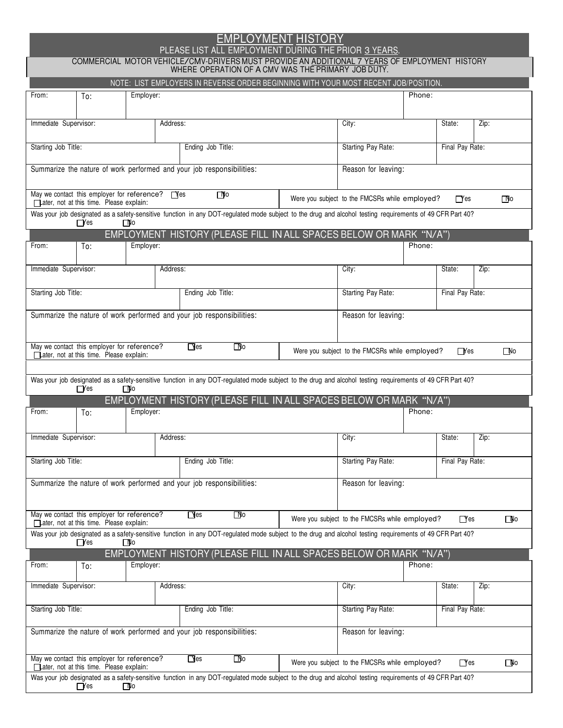# EMPLOYMENT HISTORY

## PLEASE LIST ALL EMPLOYMENT DURING THE PRIOR 3 YEARS.

COMMERCIAL MOTOR VEHICLE/CMV-DRIVERS MUST PROVIDE AN ADDITIONAL 7 YEARS OF EMPLOYMENT HISTORY<br>WHERE OPERATION OF A CMV WAS THE PRIMARY JOB DUTY.

|                       |                                                                                             |              |          | NOTE: LIST EMPLOYERS IN REVERSE ORDER BEGINNING WITH YOUR MOST RECENT JOB/POSITION.                                                                      |                                                |                 |              |  |  |
|-----------------------|---------------------------------------------------------------------------------------------|--------------|----------|----------------------------------------------------------------------------------------------------------------------------------------------------------|------------------------------------------------|-----------------|--------------|--|--|
| From:                 | To:                                                                                         | Employer:    |          |                                                                                                                                                          | Phone:                                         |                 |              |  |  |
|                       |                                                                                             |              |          |                                                                                                                                                          |                                                |                 |              |  |  |
| Immediate Supervisor: |                                                                                             |              | Address: |                                                                                                                                                          | City:                                          | State:          | Zip:         |  |  |
|                       |                                                                                             |              |          |                                                                                                                                                          |                                                |                 |              |  |  |
| Starting Job Title:   |                                                                                             |              |          | Ending Job Title:                                                                                                                                        | Starting Pay Rate:                             | Final Pay Rate: |              |  |  |
|                       |                                                                                             |              |          |                                                                                                                                                          |                                                |                 |              |  |  |
|                       |                                                                                             |              |          | Summarize the nature of work performed and your job responsibilities:                                                                                    | Reason for leaving:                            |                 |              |  |  |
|                       |                                                                                             |              |          |                                                                                                                                                          |                                                |                 |              |  |  |
|                       | May we contact this employer for reference? Tes<br>Later, not at this time. Please explain: |              |          | $\Box$ lo                                                                                                                                                | Were you subject to the FMCSRs while employed? | $\Gamma$ Yes    | $\Box$ lo    |  |  |
|                       | $\Box$ Yes                                                                                  | $\square$ lo |          | Was your job designated as a safety-sensitive function in any DOT-regulated mode subject to the drug and alcohol testing requirements of 49 CFR Part 40? |                                                |                 |              |  |  |
|                       |                                                                                             |              |          | EMPLOYMENT HISTORY (PLEASE FILL IN ALL SPACES BELOW OR MARK "N/A")                                                                                       |                                                |                 |              |  |  |
| From:                 | To:                                                                                         | Employer:    |          |                                                                                                                                                          | Phone:                                         |                 |              |  |  |
|                       |                                                                                             |              |          |                                                                                                                                                          |                                                |                 |              |  |  |
| Immediate Supervisor: |                                                                                             |              | Address: |                                                                                                                                                          | City:                                          | State:          | Zip:         |  |  |
|                       |                                                                                             |              |          |                                                                                                                                                          |                                                |                 |              |  |  |
| Starting Job Title:   |                                                                                             |              |          | Ending Job Title:                                                                                                                                        | Starting Pay Rate:                             | Final Pay Rate: |              |  |  |
|                       |                                                                                             |              |          | Summarize the nature of work performed and your job responsibilities:                                                                                    | Reason for leaving:                            |                 |              |  |  |
|                       |                                                                                             |              |          |                                                                                                                                                          |                                                |                 |              |  |  |
|                       | May we contact this employer for reference?                                                 |              |          | $\Box$ es<br>$\Box$ o                                                                                                                                    | Were you subject to the FMCSRs while employed? | $\Box$ Yes      | $\square$ No |  |  |
|                       | Later, not at this time. Please explain:                                                    |              |          |                                                                                                                                                          |                                                |                 |              |  |  |
|                       |                                                                                             |              |          |                                                                                                                                                          |                                                |                 |              |  |  |
|                       |                                                                                             |              |          | Was your job designated as a safety-sensitive function in any DOT-regulated mode subject to the drug and alcohol testing requirements of 49 CFR Part 40? |                                                |                 |              |  |  |
|                       | $\Box$ Yes                                                                                  | ΠNο          |          | EMPLOYMENT HISTORY (PLEASE FILL IN ALL SPACES BELOW OR MARK "N/A")                                                                                       |                                                |                 |              |  |  |
| From:                 | To:                                                                                         | Employer:    |          |                                                                                                                                                          | Phone:                                         |                 |              |  |  |
|                       |                                                                                             |              |          |                                                                                                                                                          |                                                |                 |              |  |  |
|                       |                                                                                             |              | Address: |                                                                                                                                                          |                                                |                 |              |  |  |
| Immediate Supervisor: |                                                                                             |              |          |                                                                                                                                                          | City:                                          | State:          | Zip:         |  |  |
| Starting Job Title:   |                                                                                             |              |          | Ending Job Title:                                                                                                                                        | Starting Pay Rate:                             | Final Pay Rate: |              |  |  |
|                       |                                                                                             |              |          |                                                                                                                                                          |                                                |                 |              |  |  |
|                       |                                                                                             |              |          | Summarize the nature of work performed and your job responsibilities:                                                                                    | Reason for leaving:                            |                 |              |  |  |
|                       |                                                                                             |              |          |                                                                                                                                                          |                                                |                 |              |  |  |
|                       |                                                                                             |              |          |                                                                                                                                                          |                                                |                 |              |  |  |
|                       | May we contact this employer for reference?                                                 |              |          | $\Box$ es<br>$\Box$ o                                                                                                                                    | Were you subject to the FMCSRs while employed? | $\Box$ Yes      | $\square$ No |  |  |
|                       | Later, not at this time. Please explain:                                                    |              |          | Was your job designated as a safety-sensitive function in any DOT-regulated mode subject to the drug and alcohol testing requirements of 49 CFR Part 40? |                                                |                 |              |  |  |
|                       | $\Box$ Yes                                                                                  | ΓNο          |          |                                                                                                                                                          |                                                |                 |              |  |  |
|                       |                                                                                             |              |          | EMPLOYMENT HISTORY (PLEASE FILL IN ALL SPACES BELOW OR MARK "N/A")                                                                                       |                                                |                 |              |  |  |
| From:                 | To:                                                                                         | Employer:    |          |                                                                                                                                                          | Phone:                                         |                 |              |  |  |
|                       |                                                                                             |              |          |                                                                                                                                                          |                                                |                 |              |  |  |
| Immediate Supervisor: |                                                                                             |              | Address: |                                                                                                                                                          | City:                                          | State:          | Zip:         |  |  |
|                       |                                                                                             |              |          |                                                                                                                                                          |                                                |                 |              |  |  |
| Starting Job Title:   |                                                                                             |              |          | Ending Job Title:                                                                                                                                        | Starting Pay Rate:                             | Final Pay Rate: |              |  |  |
|                       |                                                                                             |              |          |                                                                                                                                                          |                                                |                 |              |  |  |
|                       |                                                                                             |              |          | Summarize the nature of work performed and your job responsibilities:                                                                                    | Reason for leaving:                            |                 |              |  |  |
|                       |                                                                                             |              |          |                                                                                                                                                          |                                                |                 |              |  |  |
|                       | May we contact this employer for reference?<br>Later, not at this time. Please explain:     |              |          | $\Box$ es<br>O∥o                                                                                                                                         | Were you subject to the FMCSRs while employed? | $\Box$ Yes      | $\square$ No |  |  |
|                       |                                                                                             |              |          | Was your job designated as a safety-sensitive function in any DOT-regulated mode subject to the drug and alcohol testing requirements of 49 CFR Part 40? |                                                |                 |              |  |  |
|                       | $\Box$ Yes                                                                                  | ΠNο          |          |                                                                                                                                                          |                                                |                 |              |  |  |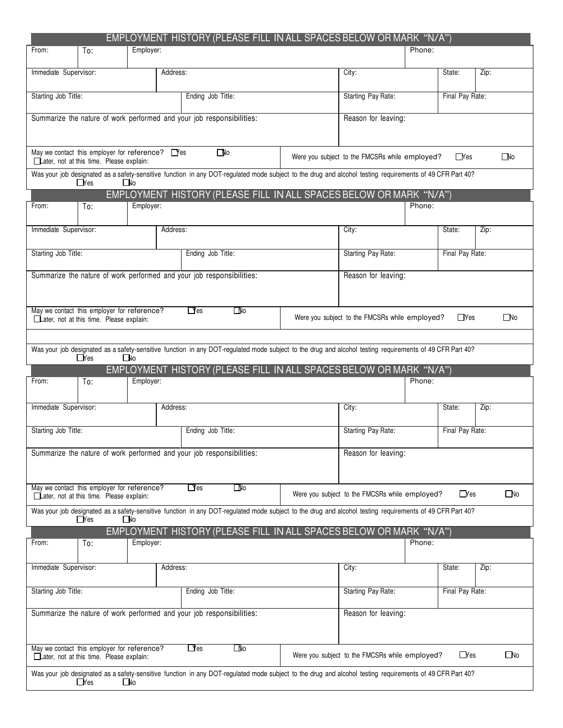|                                                                                                                                                                         |                                                                                                    |           |                                                                    | EMPLOYMENT HISTORY (PLEASE FILL IN ALL SPACES BELOW OR MARK "N/A")                                                                                       |  |                                                |        |                 |              |
|-------------------------------------------------------------------------------------------------------------------------------------------------------------------------|----------------------------------------------------------------------------------------------------|-----------|--------------------------------------------------------------------|----------------------------------------------------------------------------------------------------------------------------------------------------------|--|------------------------------------------------|--------|-----------------|--------------|
| From:                                                                                                                                                                   | To:                                                                                                | Employer: |                                                                    |                                                                                                                                                          |  |                                                | Phone: |                 |              |
| Immediate Supervisor:                                                                                                                                                   |                                                                                                    |           | Address:                                                           |                                                                                                                                                          |  | City:                                          |        | State:          | Zip:         |
| Starting Job Title:                                                                                                                                                     |                                                                                                    |           |                                                                    | Ending Job Title:                                                                                                                                        |  | Starting Pay Rate:                             |        | Final Pay Rate: |              |
|                                                                                                                                                                         |                                                                                                    |           |                                                                    | Summarize the nature of work performed and your job responsibilities:                                                                                    |  | Reason for leaving:                            |        |                 |              |
|                                                                                                                                                                         |                                                                                                    |           |                                                                    |                                                                                                                                                          |  |                                                |        |                 |              |
|                                                                                                                                                                         | May we contact this employer for reference? $\Box$ Yes<br>Later, not at this time. Please explain: |           |                                                                    | $\Box$ lo                                                                                                                                                |  | Were you subject to the FMCSRs while employed? |        | $\Box$ Yes      | $\square$ No |
|                                                                                                                                                                         | $\Box$ Yes                                                                                         | ∏No       |                                                                    | Was your job designated as a safety-sensitive function in any DOT-regulated mode subject to the drug and alcohol testing requirements of 49 CFR Part 40? |  |                                                |        |                 |              |
|                                                                                                                                                                         |                                                                                                    |           | EMPLOYMENT HISTORY (PLEASE FILL IN ALL SPACES BELOW OR MARK "N/A") |                                                                                                                                                          |  |                                                |        |                 |              |
| From:                                                                                                                                                                   | To:                                                                                                | Employer: |                                                                    |                                                                                                                                                          |  |                                                | Phone: |                 |              |
| Immediate Supervisor:                                                                                                                                                   |                                                                                                    |           | Address:                                                           |                                                                                                                                                          |  | City:                                          |        | State:          | Zip:         |
| Starting Job Title:                                                                                                                                                     |                                                                                                    |           |                                                                    | Ending Job Title:                                                                                                                                        |  | Starting Pay Rate:                             |        | Final Pay Rate: |              |
|                                                                                                                                                                         |                                                                                                    |           |                                                                    | Summarize the nature of work performed and your job responsibilities:                                                                                    |  | Reason for leaving:                            |        |                 |              |
|                                                                                                                                                                         | May we contact this employer for reference?                                                        |           |                                                                    | $\Box$ res<br>$\square$ lo                                                                                                                               |  |                                                |        |                 |              |
|                                                                                                                                                                         | Later, not at this time. Please explain:                                                           |           |                                                                    |                                                                                                                                                          |  | Were you subject to the FMCSRs while employed? |        | $\Box$ Yes      | $\Box$ No    |
|                                                                                                                                                                         |                                                                                                    |           |                                                                    | Was your job designated as a safety-sensitive function in any DOT-regulated mode subject to the drug and alcohol testing requirements of 49 CFR Part 40? |  |                                                |        |                 |              |
|                                                                                                                                                                         | $\Box$ Yes                                                                                         | $\Box$ No |                                                                    |                                                                                                                                                          |  |                                                |        |                 |              |
|                                                                                                                                                                         |                                                                                                    |           |                                                                    | EMPLOYMENT HISTORY (PLEASE FILL IN ALL SPACES BELOW OR MARK "N/A")                                                                                       |  |                                                |        |                 |              |
| From:                                                                                                                                                                   | To:                                                                                                | Employer: |                                                                    |                                                                                                                                                          |  |                                                | Phone: |                 |              |
| Immediate Supervisor:                                                                                                                                                   |                                                                                                    |           | Address:                                                           |                                                                                                                                                          |  | City:                                          |        | State:          | Zip:         |
| Starting Job Title:                                                                                                                                                     |                                                                                                    |           |                                                                    | Ending Job Title:                                                                                                                                        |  | Starting Pay Rate:<br>Final Pay Rate:          |        |                 |              |
|                                                                                                                                                                         |                                                                                                    |           |                                                                    | Summarize the nature of work performed and your job responsibilities:                                                                                    |  | Reason for leaving:                            |        |                 |              |
|                                                                                                                                                                         |                                                                                                    |           |                                                                    |                                                                                                                                                          |  |                                                |        |                 |              |
| May we contact this employer for reference?<br>$\Box$ Yes<br>$\square$ lo<br>Were you subject to the FMCSRs while employed?<br>Later, not at this time. Please explain: |                                                                                                    |           |                                                                    |                                                                                                                                                          |  |                                                |        |                 |              |
|                                                                                                                                                                         |                                                                                                    |           |                                                                    |                                                                                                                                                          |  |                                                |        | $\Box$ Yes      | $\square$ No |
|                                                                                                                                                                         | $\Box$ Yes                                                                                         | l No      |                                                                    | Was your job designated as a safety-sensitive function in any DOT-regulated mode subject to the drug and alcohol testing requirements of 49 CFR Part 40? |  |                                                |        |                 |              |
|                                                                                                                                                                         |                                                                                                    |           |                                                                    | EMPLOYMENT HISTORY (PLEASE FILL IN ALL SPACES BELOW OR MARK "N/A")                                                                                       |  |                                                |        |                 |              |
| From:                                                                                                                                                                   | To:                                                                                                | Employer: |                                                                    |                                                                                                                                                          |  |                                                | Phone: |                 |              |
| Immediate Supervisor:                                                                                                                                                   |                                                                                                    |           | Address:                                                           |                                                                                                                                                          |  | City:                                          |        | State:          | Zip:         |
| Starting Job Title:                                                                                                                                                     |                                                                                                    |           |                                                                    | Ending Job Title:                                                                                                                                        |  | Starting Pay Rate:                             |        | Final Pay Rate: |              |
|                                                                                                                                                                         |                                                                                                    |           |                                                                    | Summarize the nature of work performed and your job responsibilities:                                                                                    |  | Reason for leaving:                            |        |                 |              |
|                                                                                                                                                                         | May we contact this employer for reference?<br>Later, not at this time. Please explain:            |           |                                                                    | $\Box$ res<br>OM⊡                                                                                                                                        |  | Were you subject to the FMCSRs while employed? |        | $\Box$ Yes      | $\Box$ No    |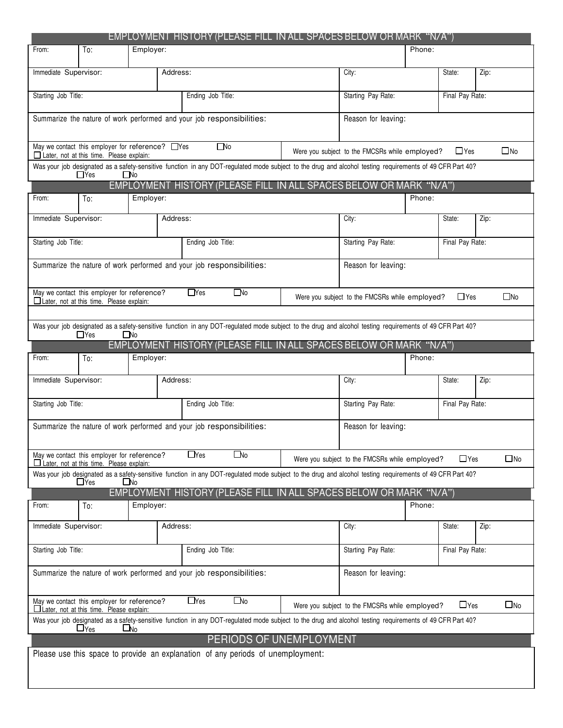|                                                                                                | <b>EMPLOYMENT HISTORY (PLEASE FILL IN ALL SPACES BELOW OR MARK "N/A")</b>                                                                                |                                                |                                                                              |                 |              |  |  |  |
|------------------------------------------------------------------------------------------------|----------------------------------------------------------------------------------------------------------------------------------------------------------|------------------------------------------------|------------------------------------------------------------------------------|-----------------|--------------|--|--|--|
| From:<br>Employer:<br>To:                                                                      |                                                                                                                                                          |                                                | Phone:                                                                       |                 |              |  |  |  |
| Immediate Supervisor:                                                                          | Address:                                                                                                                                                 | City:                                          |                                                                              | State:          | Zip:         |  |  |  |
| Starting Job Title:                                                                            | Ending Job Title:                                                                                                                                        | Starting Pay Rate:                             | Final Pay Rate:                                                              |                 |              |  |  |  |
| Summarize the nature of work performed and your job responsibilities:                          |                                                                                                                                                          | Reason for leaving:                            |                                                                              |                 |              |  |  |  |
|                                                                                                |                                                                                                                                                          |                                                |                                                                              |                 |              |  |  |  |
| May we contact this employer for reference? □Yes<br>Later, not at this time. Please explain:   | $\square$ No                                                                                                                                             | Were you subject to the FMCSRs while employed? |                                                                              | $\Box$ Yes      | $\square$ No |  |  |  |
| $\Box$ Yes<br>$\square$ No                                                                     | Was your job designated as a safety-sensitive function in any DOT-regulated mode subject to the drug and alcohol testing requirements of 49 CFR Part 40? |                                                |                                                                              |                 |              |  |  |  |
|                                                                                                | EMPLOYMENT HISTORY (PLEASE FILL IN ALL SPACES BELOW OR MARK "N/A")                                                                                       |                                                |                                                                              |                 |              |  |  |  |
| Employer:<br>From:<br>To:                                                                      |                                                                                                                                                          |                                                | Phone:                                                                       |                 |              |  |  |  |
| Immediate Supervisor:                                                                          | Address:                                                                                                                                                 | City:                                          | State:<br>Zip:                                                               |                 |              |  |  |  |
| Starting Job Title:                                                                            | Ending Job Title:                                                                                                                                        | Starting Pay Rate:                             |                                                                              | Final Pay Rate: |              |  |  |  |
| Summarize the nature of work performed and your job responsibilities:                          |                                                                                                                                                          | Reason for leaving:                            |                                                                              |                 |              |  |  |  |
| May we contact this employer for reference?<br>□ Later, not at this time. Please explain:      | $\Box$ Yes<br>$\Box$ No                                                                                                                                  |                                                | $\Box$ Yes<br>$\square$ No<br>Were you subject to the FMCSRs while employed? |                 |              |  |  |  |
|                                                                                                |                                                                                                                                                          |                                                |                                                                              |                 |              |  |  |  |
| $\Box$ Yes<br>$\Box$ No                                                                        | Was your job designated as a safety-sensitive function in any DOT-regulated mode subject to the drug and alcohol testing requirements of 49 CFR Part 40? |                                                |                                                                              |                 |              |  |  |  |
|                                                                                                | EMPLOYMENT HISTORY (PLEASE FILL IN ALL SPACES BELOW OR MARK "N/A")                                                                                       |                                                |                                                                              |                 |              |  |  |  |
| Employer:<br>From:<br>To:                                                                      |                                                                                                                                                          |                                                | Phone:                                                                       |                 |              |  |  |  |
| Immediate Supervisor:                                                                          | Address:                                                                                                                                                 | City:                                          |                                                                              | State:          | Zip:         |  |  |  |
| Starting Job Title:                                                                            | Ending Job Title:                                                                                                                                        | Starting Pay Rate:                             | Final Pay Rate:                                                              |                 |              |  |  |  |
| Summarize the nature of work performed and your job responsibilities:                          |                                                                                                                                                          | Reason for leaving:                            |                                                                              |                 |              |  |  |  |
| May we contact this employer for reference?<br>$\Box$ Later, not at this time. Please explain: | $\Box$ Yes<br>□No                                                                                                                                        | Were you subject to the FMCSRs while employed? |                                                                              | $\Box$ Yes      | $\square$ No |  |  |  |
| $\sqcup$ Yes<br>∟No                                                                            | Was your job designated as a safety-sensitive function in any DOT-regulated mode subject to the drug and alcohol testing requirements of 49 CFR Part 40? |                                                |                                                                              |                 |              |  |  |  |
|                                                                                                | EMPLOYMENT HISTORY (PLEASE FILL IN ALL SPACES BELOW OR MARK "N/A")                                                                                       |                                                |                                                                              |                 |              |  |  |  |
| Employer:<br>From:<br>To:                                                                      |                                                                                                                                                          |                                                | Phone:                                                                       |                 |              |  |  |  |
| Immediate Supervisor:                                                                          | Address:                                                                                                                                                 | City:                                          |                                                                              |                 | Zip:         |  |  |  |
| Starting Job Title:                                                                            | Ending Job Title:                                                                                                                                        | Starting Pay Rate:                             | Final Pay Rate:                                                              |                 |              |  |  |  |
| Summarize the nature of work performed and your job responsibilities:                          |                                                                                                                                                          | Reason for leaving:                            |                                                                              |                 |              |  |  |  |
| May we contact this employer for reference?<br>$\Box$ Later, not at this time. Please explain: | $\Box$ Yes<br>$\Box$ No                                                                                                                                  | Were you subject to the FMCSRs while employed? |                                                                              | $\Box$ Yes      | $\square$ No |  |  |  |
| $\Box$ Yes<br>∟No                                                                              | Was your job designated as a safety-sensitive function in any DOT-regulated mode subject to the drug and alcohol testing requirements of 49 CFR Part 40? |                                                |                                                                              |                 |              |  |  |  |
|                                                                                                | PERIODS OF UNEMPLOYMENT                                                                                                                                  |                                                |                                                                              |                 |              |  |  |  |
|                                                                                                | Please use this space to provide an explanation of any periods of unemployment:                                                                          |                                                |                                                                              |                 |              |  |  |  |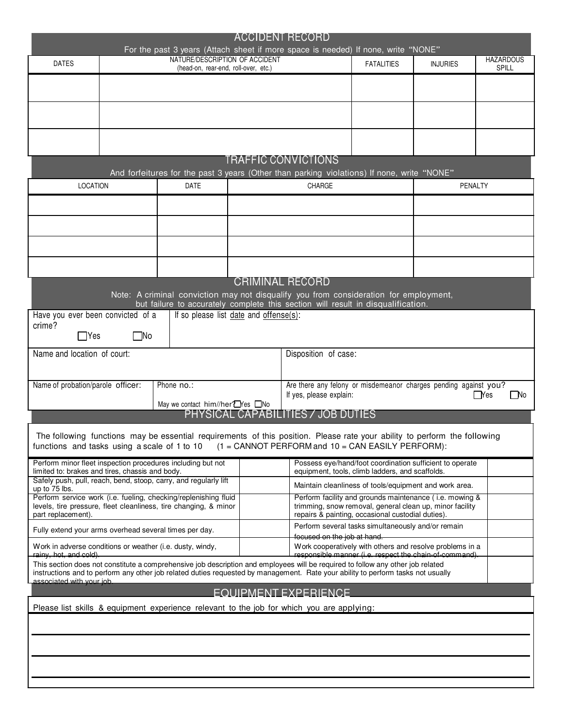| <b>ACCIDENT RECORD</b><br>For the past 3 years (Attach sheet if more space is needed) If none, write "NONE"              |                                                                                                              |                                                                                                                                                                                                                                                                     |  |                                                                                             |                                                    |                                                                                                                     |                                  |  |  |  |
|--------------------------------------------------------------------------------------------------------------------------|--------------------------------------------------------------------------------------------------------------|---------------------------------------------------------------------------------------------------------------------------------------------------------------------------------------------------------------------------------------------------------------------|--|---------------------------------------------------------------------------------------------|----------------------------------------------------|---------------------------------------------------------------------------------------------------------------------|----------------------------------|--|--|--|
| <b>DATES</b>                                                                                                             |                                                                                                              | NATURE/DESCRIPTION OF ACCIDENT<br>(head-on, rear-end, roll-over, etc.)                                                                                                                                                                                              |  |                                                                                             | <b>FATALITIES</b>                                  | <b>INJURIES</b>                                                                                                     | <b>HAZARDOUS</b><br><b>SPILL</b> |  |  |  |
|                                                                                                                          |                                                                                                              |                                                                                                                                                                                                                                                                     |  |                                                                                             |                                                    |                                                                                                                     |                                  |  |  |  |
|                                                                                                                          |                                                                                                              |                                                                                                                                                                                                                                                                     |  |                                                                                             |                                                    |                                                                                                                     |                                  |  |  |  |
|                                                                                                                          |                                                                                                              |                                                                                                                                                                                                                                                                     |  |                                                                                             |                                                    |                                                                                                                     |                                  |  |  |  |
|                                                                                                                          |                                                                                                              |                                                                                                                                                                                                                                                                     |  |                                                                                             |                                                    |                                                                                                                     |                                  |  |  |  |
| <b>TRAFFIC CONVICTIONS</b><br>And forfeitures for the past 3 years (Other than parking violations) If none, write "NONE" |                                                                                                              |                                                                                                                                                                                                                                                                     |  |                                                                                             |                                                    |                                                                                                                     |                                  |  |  |  |
|                                                                                                                          | LOCATION<br><b>DATE</b>                                                                                      |                                                                                                                                                                                                                                                                     |  |                                                                                             |                                                    | PENALTY                                                                                                             |                                  |  |  |  |
|                                                                                                                          |                                                                                                              |                                                                                                                                                                                                                                                                     |  |                                                                                             |                                                    |                                                                                                                     |                                  |  |  |  |
|                                                                                                                          |                                                                                                              |                                                                                                                                                                                                                                                                     |  |                                                                                             |                                                    |                                                                                                                     |                                  |  |  |  |
|                                                                                                                          |                                                                                                              |                                                                                                                                                                                                                                                                     |  |                                                                                             |                                                    |                                                                                                                     |                                  |  |  |  |
|                                                                                                                          |                                                                                                              |                                                                                                                                                                                                                                                                     |  |                                                                                             |                                                    |                                                                                                                     |                                  |  |  |  |
|                                                                                                                          |                                                                                                              |                                                                                                                                                                                                                                                                     |  | <b>CRIMINAL RECORD</b>                                                                      |                                                    |                                                                                                                     |                                  |  |  |  |
|                                                                                                                          |                                                                                                              | Note: A criminal conviction may not disqualify you from consideration for employment,<br>but failure to accurately complete this section will result in disqualification.                                                                                           |  |                                                                                             |                                                    |                                                                                                                     |                                  |  |  |  |
| crime?                                                                                                                   | If so please list date and offense(s):<br>Have you ever been convicted of a<br>$\square$ No<br>$\exists$ Yes |                                                                                                                                                                                                                                                                     |  |                                                                                             |                                                    |                                                                                                                     |                                  |  |  |  |
| Name and location of court:                                                                                              |                                                                                                              | Disposition of case:                                                                                                                                                                                                                                                |  |                                                                                             |                                                    |                                                                                                                     |                                  |  |  |  |
|                                                                                                                          |                                                                                                              |                                                                                                                                                                                                                                                                     |  |                                                                                             |                                                    |                                                                                                                     |                                  |  |  |  |
| Name of probation/parole officer:                                                                                        |                                                                                                              | Phone no.:                                                                                                                                                                                                                                                          |  | Are there any felony or misdemeanor charges pending against you?<br>If yes, please explain: |                                                    |                                                                                                                     | l Yes<br>$\Box$ No               |  |  |  |
|                                                                                                                          |                                                                                                              | May we contact him//her™es ONo                                                                                                                                                                                                                                      |  | PHYSICAL CAPABILITIES / JOB DUTIES                                                          |                                                    |                                                                                                                     |                                  |  |  |  |
| functions and tasks using a scale of 1 to 10                                                                             |                                                                                                              | The following functions may be essential requirements of this position. Please rate your ability to perform the following                                                                                                                                           |  | $(1 =$ CANNOT PERFORM and $10 =$ CAN EASILY PERFORM):                                       |                                                    |                                                                                                                     |                                  |  |  |  |
| limited to: brakes and tires, chassis and body.                                                                          |                                                                                                              | Perform minor fleet inspection procedures including but not                                                                                                                                                                                                         |  |                                                                                             | equipment, tools, climb ladders, and scaffolds.    | Possess eye/hand/foot coordination sufficient to operate                                                            |                                  |  |  |  |
| up to 75 lbs.                                                                                                            |                                                                                                              | Safely push, pull, reach, bend, stoop, carry, and regularly lift                                                                                                                                                                                                    |  | Maintain cleanliness of tools/equipment and work area.                                      |                                                    |                                                                                                                     |                                  |  |  |  |
| part replacement).                                                                                                       |                                                                                                              | Perform service work (i.e. fueling, checking/replenishing fluid<br>levels, tire pressure, fleet cleanliness, tire changing, & minor                                                                                                                                 |  |                                                                                             | repairs & painting, occasional custodial duties).  | Perform facility and grounds maintenance (i.e. mowing &<br>trimming, snow removal, general clean up, minor facility |                                  |  |  |  |
| Fully extend your arms overhead several times per day.                                                                   |                                                                                                              |                                                                                                                                                                                                                                                                     |  | focused on the job at hand.                                                                 | Perform several tasks simultaneously and/or remain |                                                                                                                     |                                  |  |  |  |
| Work in adverse conditions or weather (i.e. dusty, windy,<br>rainy, hot, and cold).                                      |                                                                                                              |                                                                                                                                                                                                                                                                     |  |                                                                                             |                                                    | Work cooperatively with others and resolve problems in a<br>responsible manner (i.e. respect the chain-of-command). |                                  |  |  |  |
|                                                                                                                          |                                                                                                              | This section does not constitute a comprehensive job description and employees will be required to follow any other job related<br>instructions and to perform any other job related duties requested by management. Rate your ability to perform tasks not usually |  |                                                                                             |                                                    |                                                                                                                     |                                  |  |  |  |
| associated with your job.                                                                                                |                                                                                                              |                                                                                                                                                                                                                                                                     |  | EQUIPMENT EXPERIENCE.                                                                       |                                                    |                                                                                                                     |                                  |  |  |  |
|                                                                                                                          |                                                                                                              | Please list skills & equipment experience relevant to the job for which you are applying:                                                                                                                                                                           |  |                                                                                             |                                                    |                                                                                                                     |                                  |  |  |  |
|                                                                                                                          |                                                                                                              |                                                                                                                                                                                                                                                                     |  |                                                                                             |                                                    |                                                                                                                     |                                  |  |  |  |
|                                                                                                                          |                                                                                                              |                                                                                                                                                                                                                                                                     |  |                                                                                             |                                                    |                                                                                                                     |                                  |  |  |  |
|                                                                                                                          |                                                                                                              |                                                                                                                                                                                                                                                                     |  |                                                                                             |                                                    |                                                                                                                     |                                  |  |  |  |
|                                                                                                                          |                                                                                                              |                                                                                                                                                                                                                                                                     |  |                                                                                             |                                                    |                                                                                                                     |                                  |  |  |  |